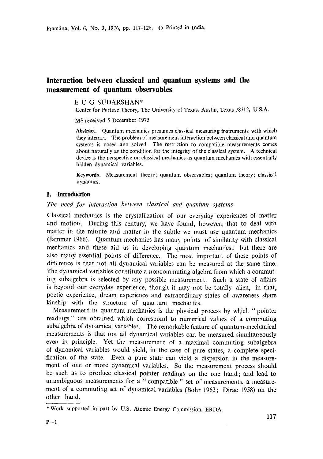# **Interaction between classical and quantum systems and the measurement of quantum observables**

E C G SUDARSHAN\*

Center for Particle Theory, The University of Texas, Austin, Texas 78712, U.S.A.

MS received 5 December 1975

**Abstract.** Quantum mechanics presumes classical measuring instruments with which they interact. The problem of measurement interaction between classical and quantum **systems** is posed ana solved. The restriction to compatible measurements comes about naturally as the condition for the integrity of the classical system. A technical device is the perspective on classical mechanics as quantum mechanics with essentially hidden dynamical variables.

**Keywords.** Measurement theory; quantum observables; quantum theory; classical dynamics.

# **1. Introduction**

# *The need for interaction between classical and quantum systems*

Classical mechanics is the crystallization of our everyday experiences of matter and motion. During this century, we have found, however, that to deal with matter in the minute and matter in the subtle we must use quantum mechanics (Jammer 1966). Quantum mechanics has many points of similarity with classical mechanics and these aid us in developing quantum mechanics; but there are also many essential points of difference. The most important of these points of difference is that not all dynamical variables can be measured at the same time. The dynamical variables constitute a noncommuting algebra from which a commuting subalgebra is selected by any possible measurement. Such a state of affairs is beyond our everyday experience, though it may not be totally alien, in that, poetic experience, dream experience and extraordinary states of awareness share kinship with the structure of quantum mechanics.

Measurement in quantum mechanics is the physical process by which "pointer readings" are obtained which correspond to numerical values of a commuting subalgebra of dynamical variables. The remarkable feature ef quantum-mechanical measurements is that not all dynamical variables can be measured simultaneously even in principle. Yet the measurement of a maximal commuting subalgebra of dynamical variables would yield, in the case of pure states, a complete specification of the state. Even a pure state can yield a dispersion in the measurement of one or more dynamical variables. So the measurement process should be such as to produce classical pointer readings on the one hand; and lead to unambiguous measurements for a "compatible" set of measurements, a measuremerit of a commuting set of dynamical variables (Bohr 1963; Dirac 1958) on the other hand.

<sup>\*</sup> Work supported in part by U.S. Atomic Energy Commission, ERDA.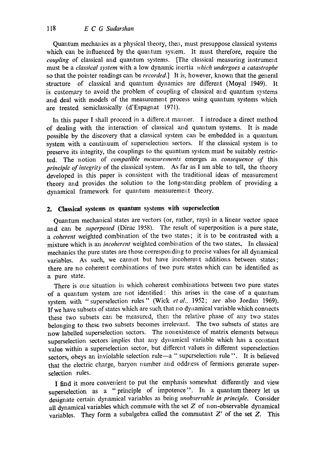Quantum mechanics as a physical theory, then, must presuppose classical systems which can be influenced by the quantum system. It must therefore, require the *coupling* of classical and quantum systems. [The classical measuring instrument must be a *classical system* with a low dynamic inertia *which undergoes a catastrophe*  so that the pointer readings can be *recorded.]* It is, however, known that the general structure of classical and quantum dynamics are different (Moyal 1949). It is customary to avoid the problem of coupling of classical and quantum systems and deal with models of the measurement process using quantum systems which are treated semiclassically (d'Espagnat 1971).

In this paper I shall proceed in a different manner. I introduce a direct method of dealing with the interaction of classical and quantum systems. It is made possible by the discovery that a classical system can be embedded in a quantum system with a continuum of superselection sectors. If the classical system is to preserve its integrity, the couplings to the quantum system must be suitably restricted. The notion of *compatible measurements* emerges as *consequence of* this *principle of integrity* of the classical system. As far as I am able to tell, the theory developed in this paper is consistent with the traditional ideas of measurement theory and provides the solution to the long-standing problem of providing a dynamical framework for quantum measurement theory.

# 2. Classical systems as quantum systems with superselection

Quantum mechanical states are vectors (or, rather, rays) in a linear vector space and can be *superposed* (Dirac 1958). The result of superposition is a pure state, *a coherent* weighted combination of the two states; it is to be contrasted with a mixture which is an *incoherent* weighted combination of the two states. In classical mechanics the pure states are those corresponding to precise values for all dynamical variables. As such, we cannot but have incoherent additions between states; there are no coherent combinations of two pure states which can be identified as a pure state.

There is one situation in which coherent combinations between two pure states of a quantum system are not identified: this arises in the case of a quantum system with. " superselection rules " (Wick *et al..* 1952; *see* also Jordan 1969). If we have subsets of states which are such that no dynamical variable which connects these two subsets can be measured, then the relative phase of any two states belonging to these two subsets becomes irrelevant. The two subsets of states are now labelled superselection sectors. The nonexistence of matrix elements between superselection sectors implies that any dynamical variable which has a constant value within a superselection sector, but different values in different superselection sectors, obeys an inviolable selection rule-a " superselection rule". It is believed that the electric charge, baryon number and oddness of fermions generate superselection rules.

I find it more convenient to put the emphasis somewhat differently and view superselection as a "principle of impotence". In a quantum theory let us designate certain dynamical variables as being *unobservable in principle.* Consider all dynamical variables which commute with the set  $Z$  of non-observable dynamical variables. They form a subalgebra called the commutant  $Z'$  of the set  $Z$ . This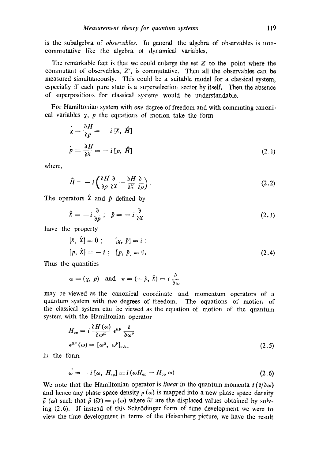is the subalgebra of *observables*. In general the algebra of observables is noncommutative like the algebra ot dynamical variables.

The remarkable fact is that we could enlarge the set  $Z$  to the point where the commutant of observables,  $Z'$ , is commutative. Then all the observables can be measured simultaneously. This could be a suitable model for a classical system, especially if each pure state is a superselection sector by itself. Then the absence of superpositions for classical systems would be understandable.

For Hamiltonian system with *one* degree of freedom and with commuting canonical variables  $x$ , p the equations of motion take the form

$$
\begin{aligned}\n\dot{\bar{x}} &= \frac{\partial H}{\partial p} = -i \left[ \bar{x}, \hat{H} \right] \\
\dot{p} &= \frac{\partial H}{\partial \bar{x}} = -i \left[ p, \hat{H} \right]\n\end{aligned}
$$
\n(2.1)

where,

$$
\hat{H} = -i \left( \frac{\partial H}{\partial p} \frac{\partial}{\partial x} - \frac{\partial H}{\partial x} \frac{\partial}{\partial p} \right).
$$
 (2.2)

The operators  $\hat{x}$  and  $\hat{p}$  defined by

$$
\hat{x} = +i\frac{\partial}{\partial p}; \quad \hat{p} = -i\frac{\partial}{\partial x} \tag{2.3}
$$

have the property

$$
[x, \hat{x}] = 0; \t [x, \hat{p}] = i :[p, \hat{x}] = -i; [p, \hat{p}] = 0.
$$
 (2.4)

Thus the quantities

$$
\omega = (\chi, p)
$$
 and  $\pi = (-\hat{p}, \hat{X}) = i \frac{\partial}{\partial \omega}$ 

may be viewed as the canonical coordinate and momentum operators of a quantum system with *two* degrees of freedom. The equations of motion of the classical system can be viewed as the equation of motion of the quantum system with the Hamiltonian operator

$$
H_{op} = i \frac{\partial H(\omega)}{\partial \omega^{\mu}} \epsilon^{\mu \nu} \frac{\partial}{\partial \omega^{\nu}}
$$
  

$$
\epsilon^{\mu \nu}(\omega) = [\omega^{\mu}, \ \omega^{\nu}]_{\rho.b.}
$$
 (2.5)

in the form

$$
\omega = -i\left[\omega, H_{op}\right] \equiv i\left(\omega H_{op} - H_{op}\omega\right) \tag{2.6}
$$

We note that the Hamiltonian operator is *linear* in the quantum momenta  $i \left( \frac{\partial}{\partial \omega} \right)$ and hence any phase space density  $\rho(\omega)$  is mapped into a new phase space density  $\tilde{\rho}$  ( $\omega$ ) such that  $\tilde{\rho}$  ( $\tilde{\omega}$ ) =  $\rho$  ( $\omega$ ) where  $\tilde{\omega}$  are the displaced values obtained by solving  $(2.6)$ . If instead of this Schrödinger form of time development we were to view the time development in terms of the Heisenberg picture, we have the result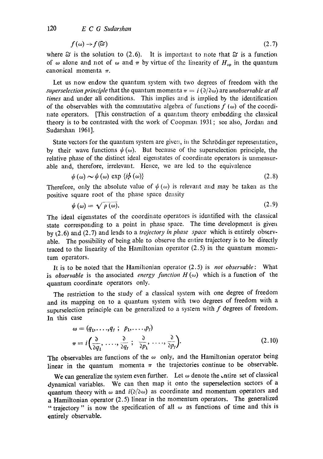$$
f(\omega) \to f(\omega) \tag{2.7}
$$

where  $\tilde{\omega}$  is the solution to (2.6). It is important to note that  $\tilde{\omega}$  is a function of  $\omega$  alone and not of  $\omega$  and  $\pi$  by virtue of the linearity of  $H_{op}$  in the quantum canonical momenta  $\pi$ .

Let us now endow the quantum system with two degrees of freedom with the *superselection principle* that the quantum momenta  $\pi = i \left( \frac{\partial}{\partial \omega} \right)$  are *unobservable at all times* and under all conditions. This implies and is implied by the identification of the observables with the commutative algebra of functions  $f(\omega)$  of the coordinate operators. [This construction of a quantum theory embedding the classical theory is to be contrasted with the work of Coopman 1931; see also, Jordan and Sudarshan 1961].

State vectors for the quantum system are given, in the Schrödinger representation, by their wave functions  $\psi(\omega)$ . But because of the superselection principle, the relative phase of the distinct ideal eigenstates of coordinate operators is unmeasurable and, therefore, irrelevant. Hence, we are led to the equivalence

$$
\psi(\omega) \sim \psi(\omega) \exp \{i\phi(\omega)\} \tag{2.8}
$$

Therefore, only the absolute value of  $\psi(\omega)$  is relevant and may be taken as the positive square root of the phase space density

$$
\psi(\omega) = \sqrt{\rho(\omega)}.
$$
\n(2.9)

The ideal eigenstates of the coordinate operators is identified with the classical state corresponding to a point in phase space. The time development is given by (2.6) and (2.7) and leads to a *trajectory in phase space* which is entirely observable. The possibility of being able to observe the entire trajectory is to be directly traced to the linearity of the Hamiltonian operator (2.5) in the quantum momentum operators.

It is to be noted that the Hamiltonian operator (2.5) is *not observable:* What is *observable* is the associated *energy function*  $H(\omega)$  which is a function of the quantum coordinate operators only.

The restriction to the study of a classical system with one degree of freedom .and its mapping on to a quantum system with two degrees of freedom with a superselection principle can be generalized to a system with  $f$  degrees of freedom. In this case

$$
\omega = (q_1, \dots, q_t ; p_1, \dots, p_t) \n\pi = i \left( \frac{\partial}{\partial q_1}, \dots, \frac{\partial}{\partial q_t} ; \frac{\partial}{\partial p_1}, \dots, \frac{\partial}{\partial p_t} \right).
$$
\n(2.10)

The observables are functions of the  $\omega$  only, and the Hamiltonian operator being linear in the quantum momenta  $\pi$  the trajectories continue to be observable.

We can generalize the system even further. Let  $\omega$  denote the entire set of classical dynamical variables. We can then map it onto the superseleetion sectors of a quantum theory with  $\omega$  and  $i(\partial/\partial \omega)$  as coordinate and momentum operators and a Hamiltonian operator (2.5) linear in the momentum operators. The generalized "trajectory" is now the specification of all  $\omega$  as functions of time and this is entirely observable.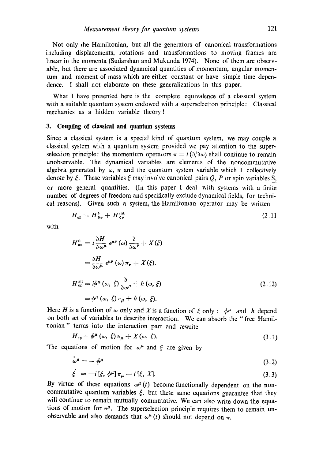Not only the Hamikonian, but all the generators of canonical transformations including displacements, rotations and transformations to moving frames are linear in the momenta (Sudarshan and Mukunda 1974). None of them are observable, but lhere are associated dynamical quantities of momentum, angular momentum and moment of mass which are either constant or have simple time dependence. I shall not elaborate on these generalizations in this paper.

What I have presented here is the complete equivalence of a classical system with a suitable quantum system endowed with a superselection principle: Classical mechanics as a hidden variable theory!

#### **.3. Coupling of cIassical and quantum** systems

Since a classical system is a special kind of quantum system, we may couple a .classical system with a quantum system provided we pay attention to the superselection principle: the momentum operators  $\pi = i \left( \frac{\partial}{\partial \omega} \right)$  shall continue to remain unobservable. The dynamical variables are elements of the noncommutative algebra generated by  $\omega$ ,  $\pi$  and the quantum system variable which I collectively denote by  $\xi$ . These variables  $\xi$  may involve canonical pairs  $Q$ , P or spin variables S, or more general quantities. (In this paper I deal with systems with a finite number of degrees of freedom and specifically exclude dynamical fields, for techni cal reasons). Given such a system, the Hamiltonian operator may be written

$$
H_{op} = H_{op}^{\circ} + H_{op}^{\text{int}} \tag{2.11}
$$

-with

$$
H_{op}^{0} = i \frac{\partial H}{\partial \omega^{\mu}} \epsilon^{\mu \nu} (\omega) \frac{\partial}{\partial \omega^{\nu}} + X(\xi)
$$
  

$$
= \frac{\partial H}{\partial \omega^{\mu}} \epsilon^{\mu \nu} (\omega) \pi_{\nu} + X(\xi).
$$
  

$$
H_{op}^{\text{int}} = i \phi^{\mu} (\omega, \xi) \frac{\partial}{\partial \omega^{\mu}} + h (\omega, \xi)
$$
  

$$
= \phi^{\mu} (\omega, \xi) \pi_{\mu} + h (\omega, \xi).
$$
 (2.12)

Here H is a function of  $\omega$  only and X is a function of  $\xi$  only;  $\phi^{\mu}$  and h depend on both set of variables to describe interaction. We can absorb the "free Hamiltonian" terms into the interaction part and rewrite

$$
H_{op} = \phi^{\mu}(\omega, \xi) \pi_{\mu} + X(\omega, \xi). \tag{3.1}
$$

The equations of motion for  $\omega^{\mu}$  and  $\xi$  are given by

$$
\omega^{\mu} = -\phi^{\mu} \tag{3.2}
$$

$$
\dot{\xi} = -i[\xi, \phi^{\mu}] \pi_{\mu} - i[\xi, X]. \tag{3.3}
$$

By virtue of these equations  $\omega^{\mu}(t)$  become functionally dependent on the noncommutative quantum variables  $\xi$ , but these same equations guarantee that they will continue to remain mutually commutative. We can also write down the equations of motion for  $\pi^{\mu}$ . The superselection principle requires them to remain unobservable and also demands that  $\omega^{\mu}(t)$  should not depend on  $\pi$ .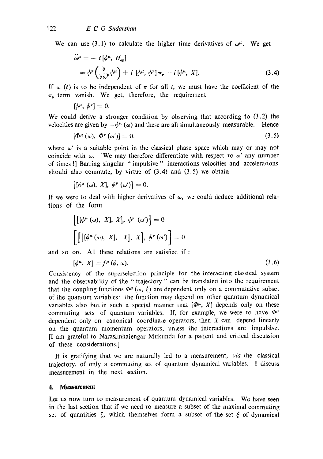We can use (3.1) to calculate the higher time derivatives of  $\omega^{\mu}$ . We get

$$
\ddot{\omega}^{\mu} = + i \left[ \phi^{\mu}, H_{\text{op}} \right] \n= \phi^{\nu} \left( \frac{\partial}{\partial \omega^{\nu}} \phi^{\mu} \right) + i \left[ \phi^{\mu}, \phi^{\nu} \right] \pi_{\nu} + i \left[ \phi^{\mu}, X \right].
$$
\n(3.4)

If  $\omega$  (t) is to be independent of  $\pi$  for all t, we must have the coefficient of the  $\pi_{\nu}$  term vanish. We get, therefore, the requirement

 $[\phi^{\mu}, \phi^{\nu}] = 0.$ 

We could derive a stronger condition by observing that according to  $(3.2)$  the velocities are given by  $-\phi^{\mu}(\omega)$  and these are all simultaneously measurable. Hence

$$
\left[\Phi^{\mu}\left(\omega\right),\ \Phi^{\nu}\left(\omega^{\prime}\right)\right]=0.\tag{3.5}
$$

where  $\omega'$  is a suitable point in the classical phase space which may or may not coincide with  $\omega$ . [We may therefore differentiate with respect to  $\omega'$  any number of times !] Barring singular "impulsive" interactions velocities and accelerations should also commute, by virtue of  $(3.4)$  and  $(3.5)$  we obtain

 $\left[\left[\phi^{\mu}\left(\omega\right), X\right], \phi^{\nu}\left(\omega'\right)\right] = 0.$ 

If we were to deal with higher derivatives of  $\omega$ , we could deduce additional relations of the form

$$
\begin{aligned}\n\left[\left[\phi^{\mu}(\omega), X\right], X\right], \phi^{\nu}(\omega')\right] &= 0 \\
\left[\left[\left[\phi^{\mu}(\omega), X\right], X\right], X\right], \phi^{\nu}(\omega')\right] &= 0 \\
\text{on} \quad \text{All these relations are satisfied if } \cdot\n\end{aligned}
$$

and so on. All these relations are satisfied if:

$$
[\phi^{\mu}, X] = f^{\mu}(\phi, \omega). \tag{3.6}
$$

Consistency of the superselection principle for the interacting classical system and the observability of the "trajectory" can be lranslated into the requirement that the coupling functions  $\Phi^{\mu}(\omega, \xi)$  are dependent only on a commutative subset of the quantum variables; the function may depend on other quantum dynamical variables also but in such a special manner that  $[\Phi^{\mu}, X]$  depends only on these commuting sets of quantum variables. If, for example, we were to have  $\Phi^{\mu}$ dependent only on canonical coordinate operators, then  $X$  can depend linearly on the quantum momentum operators, unless the interactions are impulsive. [I am grateful to Narasimhaiengar Mukunda for a patient and critical discussion of these considerations.]

It is gratifying that we are naturally led to a measurement, *via* the classical trajectory, of only a commuting set of quantum dynamical variables. I discuss measurement in the next section.

#### **4. Measurement**

Let us now turn to measurement of quantum dynamical variables. We have seen in the last section that if we need to measure a subset of the maximal commuting set of quantities  $\zeta$ , which themselves form a subset of the set  $\xi$  of dynamical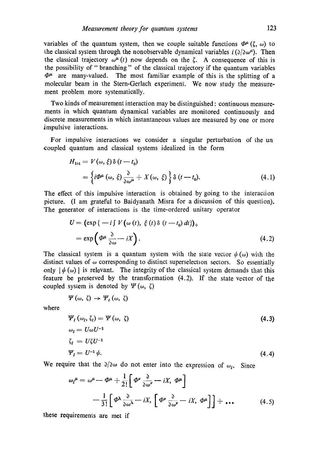variables of the quantum system, then we couple suitable functions  $\Phi^{\mu}(\zeta, \omega)$  to the classical system through the nonobservable dynamical variables  $i \left( \frac{\partial}{\partial \omega^{\mu}} \right)$ . Then the classical trajectory  $\omega^{\mu}(t)$  now depends on the  $\zeta$ . A consequence of this is the possibility of "branching" of the classical trajectory if the quantum variables  $\Phi^{\mu}$  are many-valued. The most familiar example of this is the splitting of a molecular beam in the Stern-Gerlach experiment. We now study the measurement problem more systematically.

Two kinds of measurement interaction may be distinguished: continuous measurements in which quantum dynamical variables are monitored continuously and discrete measurements in which instantaneous values are measured by one or more impulsive interactions.

For impulsive interactions we consider a singular perturbation of the un coupled quantum and classical systems idealized in the form

$$
H_{\text{int}} = V(\omega, \xi) \delta(t - t_0)
$$
  
=  $\left\{ i \Phi^{\mu}(\omega, \xi) \frac{\partial}{\partial \omega^{\mu}} + X(\omega, \xi) \right\} \delta(t - t_0).$  (4.1)

The effect of this impulsive interaction is obtained by going to the interaction picture. (I am grateful to Baidyanath Misra for a discussion of this question). The generator of interactions is the time-ordered unitary operator

$$
U = \left(\exp\{-i \int V(\omega(t), \xi(t)\delta(t-t_0) dt)\right)_{+}
$$
  
= 
$$
\exp\left(\Phi^{\mu} \frac{\partial}{\partial \omega} - iX\right).
$$
 (4.2)

The classical system is a quantum system with the state vector  $\psi(\omega)$  with the distinct values of  $\omega$  corresponding to distinct superselection sectors. So essentially only  $|\psi(\omega)|$  is relevant. The integrity of the classical system demands that this feature be preserved by the transformation (4.2). If the state vector of the coupled system is denoted by  $\Psi(\omega, \zeta)$ 

$$
\Psi\left(\omega,\ \zeta\right)\,\rightarrow\,\Psi_{I}\left(\omega,\ \zeta\right)
$$

where

$$
\Psi_{I}(\omega_{I}, \zeta_{I}) = \Psi(\omega, \zeta)
$$
\n
$$
\omega_{I} = U\omega U^{-1}
$$
\n
$$
\zeta_{I} = U\zeta U^{-1}
$$
\n
$$
\Psi_{I} = U^{-1}\psi.
$$
\n(4.4)

We require that the  $\partial/\partial \omega$  do not enter into the expression of  $\omega_I$ . Since

$$
\omega_{I}^{\mu} = \omega^{\mu} - \Phi^{\mu} + \frac{1}{2!} \left[ \Phi^{\nu} \frac{\partial}{\partial \omega^{\nu}} - iX, \ \Phi^{\mu} \right]
$$

$$
- \frac{1}{3!} \left[ \Phi^{\lambda} \frac{\partial}{\partial \omega^{\lambda}} - iX, \ \left[ \Phi^{\nu} \frac{\partial}{\partial \omega^{\nu}} - iX, \ \Phi^{\mu} \right] \right] + \dots \tag{4.5}
$$

Ihese requirements are met if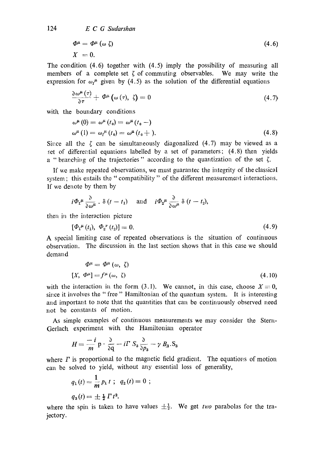$$
\Phi^{\mu} = \Phi^{\mu} (\omega \zeta) \tag{4.6}
$$

$$
X = 0.
$$

The condition (4.6) together with. (4.5) imply the possibility of measuring all members of a complete set  $\zeta$  of commuting observables. We may write the expression for  $\omega_1^{\mu}$  given by (4.5) as the solution of the differential equations

$$
\frac{\partial \omega^{\mu}(\tau)}{\partial \tau} + \Phi^{\mu}(\omega(\tau), \zeta) = 0 \qquad (4.7)
$$

with the boundary conditions

$$
\omega^{\mu}(0) = \omega^{\mu}(t_0) = \omega^{\mu}(t_0 -)
$$
  

$$
\omega^{\mu}(1) = \omega_f^{\mu}(t_0) = \omega^{\mu}(t_0 +).
$$
 (4.8)

Since all the  $\zeta$  can be simultaneously diagonalized (4.7) may be viewed as a set of differential equations labelled by a set of parameters;  $(4.8)$  then yields a "branching of the trajectories" according to the quantization of the set  $\zeta$ .

If we make repeated observations, we must guarantee the integrity of the classical system; this entails the "compatibility" of the different measurement interactions. If we denote by them by

$$
i\Phi_1^{\mu}\frac{\partial}{\partial\omega^{\mu}}
$$
.  $\delta(t-t_1)$  and  $i\Phi_2^{\mu}\frac{\partial}{\partial\omega^{\mu}}$   $\delta(t-t_2)$ ,

then in the interaction picture

$$
[\Phi_1^{\mu}(t_1), \ \Phi_2^{\nu}(t_2)] = 0. \tag{4.9}
$$

A special limiting case of repeated observations is the situation of continuous observation. The discussion in the last section shows that in this case we should demand

$$
\Phi^{\mu} = \Phi^{\mu} (\omega, \zeta)
$$
  
[*X*,  $\Phi^{\mu}$ ] =  $f^{\mu} (\omega, \zeta)$  (4.10)

with the interaction in the form (3.1). We cannot, in this case, choose  $X \equiv 0$ , since it involves the "free" Hamiltonian of the quantum system. It is interesting and important to note that the quantities that can be continuously observed need not be constants of motion.

As simple examples of continuous measurements we may consider the Stern-Gerlach experiment with the Hamiltonian operator

$$
H = \frac{-i}{m} \mathbf{p} \cdot \frac{\partial}{\partial \mathbf{q}} - i \mathbf{\Gamma} \cdot \mathbf{S}_3 \frac{\partial}{\partial p_3} - \gamma \cdot B_3 \cdot \mathbf{S}_3
$$

where  $\Gamma$  is proportional to the magnetic field gradient. The equations of motion. can be solved to yield, without any essential loss of generality,

$$
q_1(t) = \frac{1}{m} p_1 t
$$
;  $q_2(t) = 0$ ;  
 $q_3(t) = \pm \frac{1}{2} \Gamma t^2$ .

where the spin is taken to have values  $\pm \frac{1}{2}$ . We get *two* parabolas for the trajectory.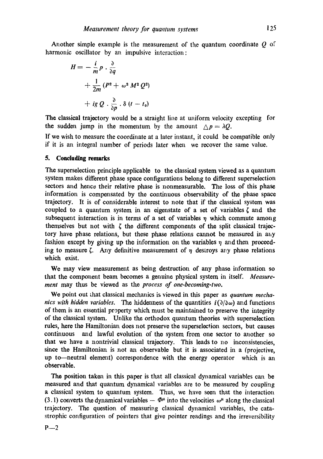Another simple example is the measurement of the quantum coordinate  $Q$  of harmonic oscillator by an impulsive interaction:

$$
H = -\frac{i}{m}p \cdot \frac{\partial}{\partial q}
$$
  
+  $\frac{1}{2m}(P^2 + \omega^2 M^2 Q^2)$   
+  $ig Q \cdot \frac{\partial}{\partial p} \cdot \delta (t - t_0)$ 

The classical trajectory would be a straight line at uniform velocity excepting for the sudden jump in the momentum by the amount  $\Delta p = \lambda Q$ .

If we wish to measure the coordinate at a later instant, it could be compatible only if it is an integral number of periods later when we recover the same value.

#### 5. Concluding **remarks**

The superselection principle applicable to the classical system viewed as a quantum system makes different phase space configurations belong to different superselection sectors and hence their relative phase is nonmeasurable. The loss of this phase information is compensated by the continuous observability of the phase space trajectory. It is of considerable interest to note that if the Classical system was coupled to a quantum system in an eigenstate of a set of variables  $\zeta$  and the subsequent interaction is in terms of a set of variables  $\eta$  which commute among themselves but not with  $\zeta$  the different components of the split classical trajectory have phase relations, but these phase relations cannot be measured in any fashion except by giving up the information on the variables  $\eta$  and then proceeding to measure  $\zeta$ . Any definitive measurement of  $\eta$  destroys any phase relations which exist.

We may view measurement as being destruction of any phase information so that the component beam becomes a genuine physical system in itself. *Measurement* may thus be viewed as the *process of one-becoming-two.* 

We point out that classical mechanics is viewed in this paper as *quantum mechanics with hidden variables.* The hiddenness of the quantities  $i(\partial/\partial \omega)$  and functions of them is an essential property which must be maintained to preserve the integrity of the classical system. Unlike the orthodox quantum theories with superselection rules, here the Hamiltonian does not preserve the superselection sectors, but causes continuous and lawful evolution of the system from one sector to another so that we have a nontrivial classical trajectory. This leads to no inconsistencies, since the Hamiltonian is not an observable but it is associated in a (projective, up to-neutral element) correspondence with the energy operator which is an observable.

The position taken in this paper is that all classical dynamical variables can be measured and that quantum dynamical variables are to be measured by coupling a classical system to quantum system. Thus, we have seen that the interaction (3.1) converts the dynamical variables  $-\Phi^{\mu}$  into the velocities  $\omega^{\mu}$  along the classical trajectory. The question of measuring classical dynamical variables, the catastrophic configuration of pointers that give pointer readings and the irreversibility